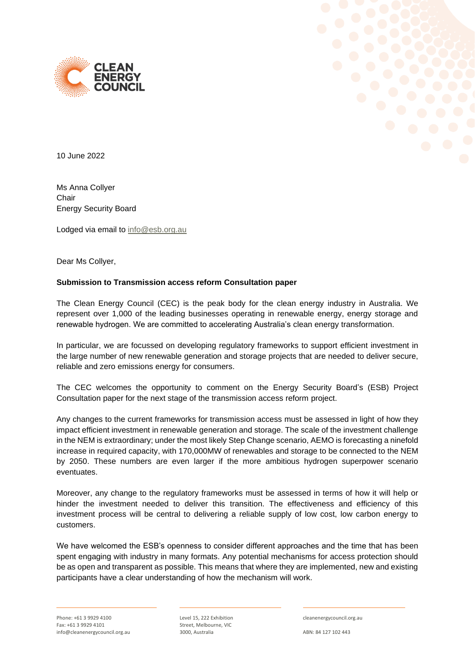



10 June 2022

Ms Anna Collyer Chair Energy Security Board

Lodged via email to [info@esb.org.au](mailto:info@esb.org.au)

Dear Ms Collyer,

## **Submission to Transmission access reform Consultation paper**

The Clean Energy Council (CEC) is the peak body for the clean energy industry in Australia. We represent over 1,000 of the leading businesses operating in renewable energy, energy storage and renewable hydrogen. We are committed to accelerating Australia's clean energy transformation.

In particular, we are focussed on developing regulatory frameworks to support efficient investment in the large number of new renewable generation and storage projects that are needed to deliver secure, reliable and zero emissions energy for consumers.

The CEC welcomes the opportunity to comment on the Energy Security Board's (ESB) Project Consultation paper for the next stage of the transmission access reform project.

Any changes to the current frameworks for transmission access must be assessed in light of how they impact efficient investment in renewable generation and storage. The scale of the investment challenge in the NEM is extraordinary; under the most likely Step Change scenario, AEMO is forecasting a ninefold increase in required capacity, with 170,000MW of renewables and storage to be connected to the NEM by 2050. These numbers are even larger if the more ambitious hydrogen superpower scenario eventuates.

Moreover, any change to the regulatory frameworks must be assessed in terms of how it will help or hinder the investment needed to deliver this transition. The effectiveness and efficiency of this investment process will be central to delivering a reliable supply of low cost, low carbon energy to customers.

We have welcomed the ESB's openness to consider different approaches and the time that has been spent engaging with industry in many formats. Any potential mechanisms for access protection should be as open and transparent as possible. This means that where they are implemented, new and existing participants have a clear understanding of how the mechanism will work.

Level 15, 222 Exhibition Street, Melbourne, VIC 3000, Australia

cleanenergycouncil.org.au

ABN: 84 127 102 443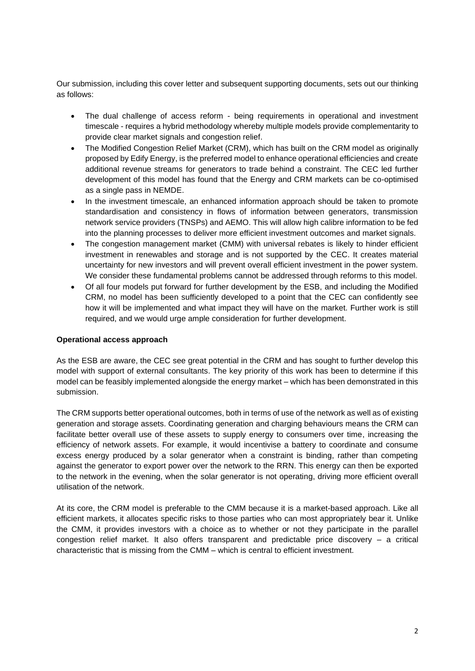Our submission, including this cover letter and subsequent supporting documents, sets out our thinking as follows:

- The dual challenge of access reform being requirements in operational and investment timescale - requires a hybrid methodology whereby multiple models provide complementarity to provide clear market signals and congestion relief.
- The Modified Congestion Relief Market (CRM), which has built on the CRM model as originally proposed by Edify Energy, is the preferred model to enhance operational efficiencies and create additional revenue streams for generators to trade behind a constraint. The CEC led further development of this model has found that the Energy and CRM markets can be co-optimised as a single pass in NEMDE.
- In the investment timescale, an enhanced information approach should be taken to promote standardisation and consistency in flows of information between generators, transmission network service providers (TNSPs) and AEMO. This will allow high calibre information to be fed into the planning processes to deliver more efficient investment outcomes and market signals.
- The congestion management market (CMM) with universal rebates is likely to hinder efficient investment in renewables and storage and is not supported by the CEC. It creates material uncertainty for new investors and will prevent overall efficient investment in the power system. We consider these fundamental problems cannot be addressed through reforms to this model.
- Of all four models put forward for further development by the ESB, and including the Modified CRM, no model has been sufficiently developed to a point that the CEC can confidently see how it will be implemented and what impact they will have on the market. Further work is still required, and we would urge ample consideration for further development.

## **Operational access approach**

As the ESB are aware, the CEC see great potential in the CRM and has sought to further develop this model with support of external consultants. The key priority of this work has been to determine if this model can be feasibly implemented alongside the energy market – which has been demonstrated in this submission.

The CRM supports better operational outcomes, both in terms of use of the network as well as of existing generation and storage assets. Coordinating generation and charging behaviours means the CRM can facilitate better overall use of these assets to supply energy to consumers over time, increasing the efficiency of network assets. For example, it would incentivise a battery to coordinate and consume excess energy produced by a solar generator when a constraint is binding, rather than competing against the generator to export power over the network to the RRN. This energy can then be exported to the network in the evening, when the solar generator is not operating, driving more efficient overall utilisation of the network.

At its core, the CRM model is preferable to the CMM because it is a market-based approach. Like all efficient markets, it allocates specific risks to those parties who can most appropriately bear it. Unlike the CMM, it provides investors with a choice as to whether or not they participate in the parallel congestion relief market. It also offers transparent and predictable price discovery – a critical characteristic that is missing from the CMM – which is central to efficient investment.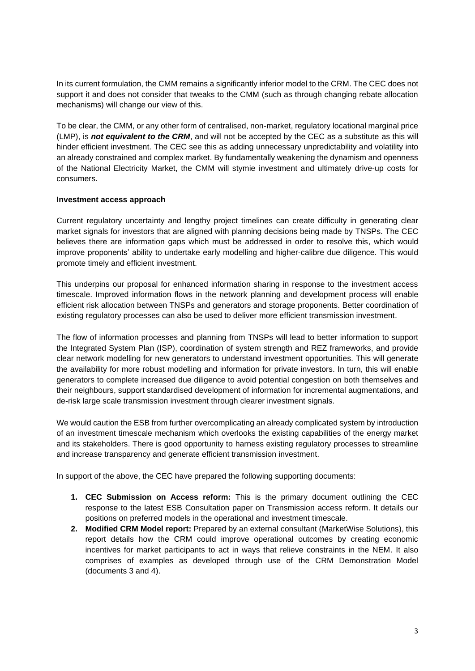In its current formulation, the CMM remains a significantly inferior model to the CRM. The CEC does not support it and does not consider that tweaks to the CMM (such as through changing rebate allocation mechanisms) will change our view of this.

To be clear, the CMM, or any other form of centralised, non-market, regulatory locational marginal price (LMP), is *not equivalent to the CRM*, and will not be accepted by the CEC as a substitute as this will hinder efficient investment. The CEC see this as adding unnecessary unpredictability and volatility into an already constrained and complex market. By fundamentally weakening the dynamism and openness of the National Electricity Market, the CMM will stymie investment and ultimately drive-up costs for consumers.

## **Investment access approach**

Current regulatory uncertainty and lengthy project timelines can create difficulty in generating clear market signals for investors that are aligned with planning decisions being made by TNSPs. The CEC believes there are information gaps which must be addressed in order to resolve this, which would improve proponents' ability to undertake early modelling and higher-calibre due diligence. This would promote timely and efficient investment.

This underpins our proposal for enhanced information sharing in response to the investment access timescale. Improved information flows in the network planning and development process will enable efficient risk allocation between TNSPs and generators and storage proponents. Better coordination of existing regulatory processes can also be used to deliver more efficient transmission investment.

The flow of information processes and planning from TNSPs will lead to better information to support the Integrated System Plan (ISP), coordination of system strength and REZ frameworks, and provide clear network modelling for new generators to understand investment opportunities. This will generate the availability for more robust modelling and information for private investors. In turn, this will enable generators to complete increased due diligence to avoid potential congestion on both themselves and their neighbours, support standardised development of information for incremental augmentations, and de-risk large scale transmission investment through clearer investment signals.

We would caution the ESB from further overcomplicating an already complicated system by introduction of an investment timescale mechanism which overlooks the existing capabilities of the energy market and its stakeholders. There is good opportunity to harness existing regulatory processes to streamline and increase transparency and generate efficient transmission investment.

In support of the above, the CEC have prepared the following supporting documents:

- **1. CEC Submission on Access reform:** This is the primary document outlining the CEC response to the latest ESB Consultation paper on Transmission access reform. It details our positions on preferred models in the operational and investment timescale.
- **2. Modified CRM Model report:** Prepared by an external consultant (MarketWise Solutions), this report details how the CRM could improve operational outcomes by creating economic incentives for market participants to act in ways that relieve constraints in the NEM. It also comprises of examples as developed through use of the CRM Demonstration Model (documents 3 and 4).